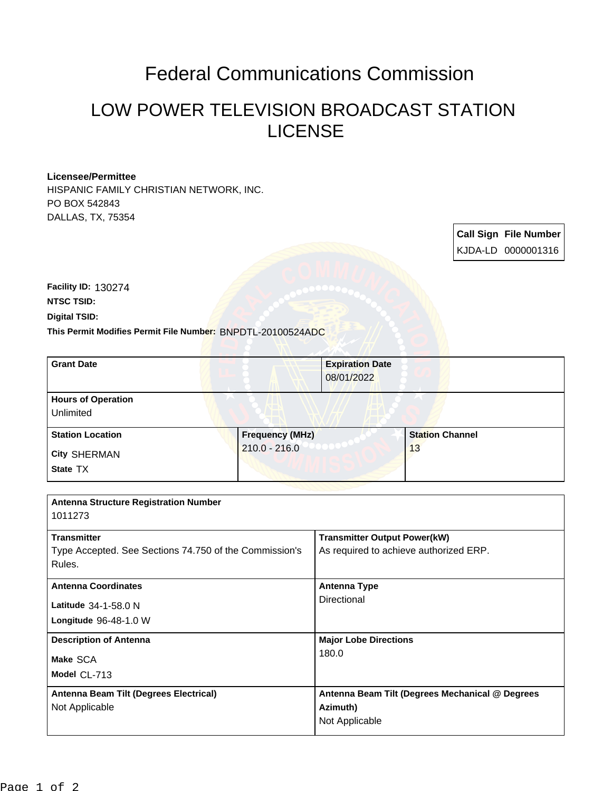## Federal Communications Commission

## LOW POWER TELEVISION BROADCAST STATION LICENSE

## **Licensee/Permittee**

HISPANIC FAMILY CHRISTIAN NETWORK, INC. PO BOX 542843 DALLAS, TX, 75354

> **Call Sign File Number** KJDA-LD 0000001316

**Digital TSID: NTSC TSID: Facility ID:** 130274

**This Permit Modifies Permit File Number:** BNPDTL-20100524ADC

| <b>Grant Date</b>                      | <b>Expiration Date</b><br>08/01/2022 |                        |
|----------------------------------------|--------------------------------------|------------------------|
| <b>Hours of Operation</b><br>Unlimited |                                      |                        |
| <b>Station Location</b>                | <b>Frequency (MHz)</b>               | <b>Station Channel</b> |
| <b>City SHERMAN</b><br>State TX        | $210.0 - 216.0$                      | 13                     |

| <b>Antenna Structure Registration Number</b><br>1011273                                |                                                                               |
|----------------------------------------------------------------------------------------|-------------------------------------------------------------------------------|
| <b>Transmitter</b><br>Type Accepted. See Sections 74.750 of the Commission's<br>Rules. | <b>Transmitter Output Power(kW)</b><br>As required to achieve authorized ERP. |
| <b>Antenna Coordinates</b><br>Latitude 34-1-58.0 N<br>Longitude 96-48-1.0 W            | <b>Antenna Type</b><br>Directional                                            |
| <b>Description of Antenna</b><br>Make SCA<br>Model CL-713                              | <b>Major Lobe Directions</b><br>180.0                                         |
| Antenna Beam Tilt (Degrees Electrical)<br>Not Applicable                               | Antenna Beam Tilt (Degrees Mechanical @ Degrees<br>Azimuth)<br>Not Applicable |